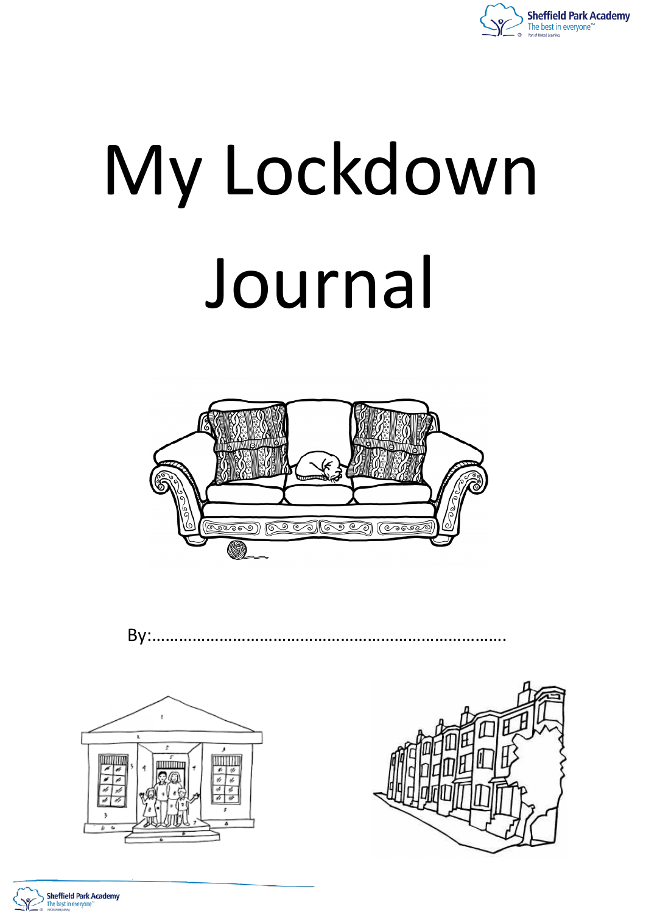

# My Lockdown Journal









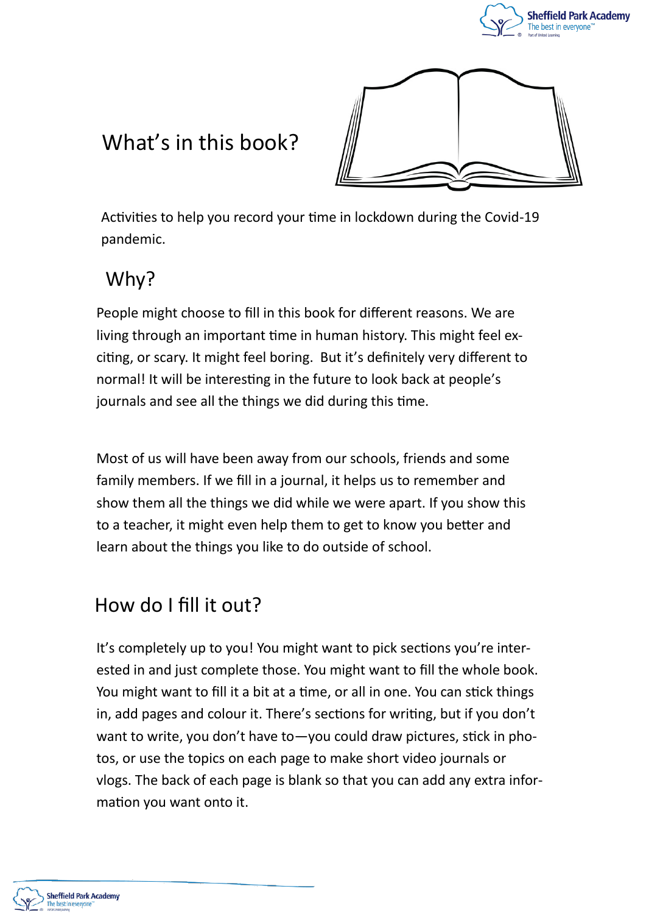



# What's in this book?

Activities to help you record your time in lockdown during the Covid-19 pandemic.

## Why?

People might choose to fill in this book for different reasons. We are living through an important time in human history. This might feel exciting, or scary. It might feel boring. But it's definitely very different to normal! It will be interesting in the future to look back at people's journals and see all the things we did during this time.

Most of us will have been away from our schools, friends and some family members. If we fill in a journal, it helps us to remember and show them all the things we did while we were apart. If you show this to a teacher, it might even help them to get to know you better and learn about the things you like to do outside of school.

## How do I fill it out?

It's completely up to you! You might want to pick sections you're interested in and just complete those. You might want to fill the whole book. You might want to fill it a bit at a time, or all in one. You can stick things in, add pages and colour it. There's sections for writing, but if you don't want to write, you don't have to—you could draw pictures, stick in photos, or use the topics on each page to make short video journals or vlogs. The back of each page is blank so that you can add any extra information you want onto it.

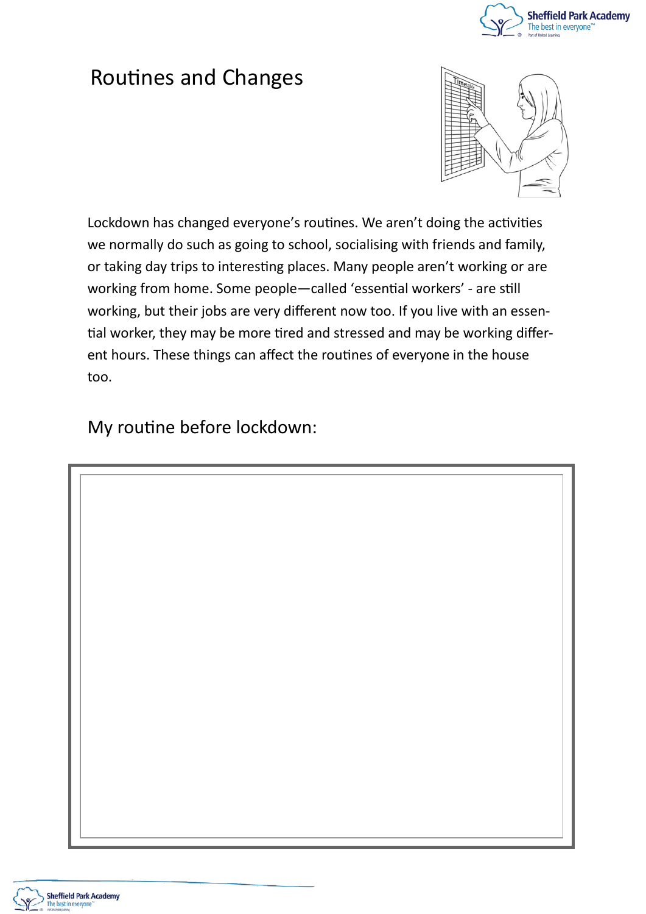

## Routines and Changes



Lockdown has changed everyone's routines. We aren't doing the activities we normally do such as going to school, socialising with friends and family, or taking day trips to interesting places. Many people aren't working or are working from home. Some people—called 'essential workers' - are still working, but their jobs are very different now too. If you live with an essential worker, they may be more tired and stressed and may be working different hours. These things can affect the routines of everyone in the house too.

My routine before lockdown:

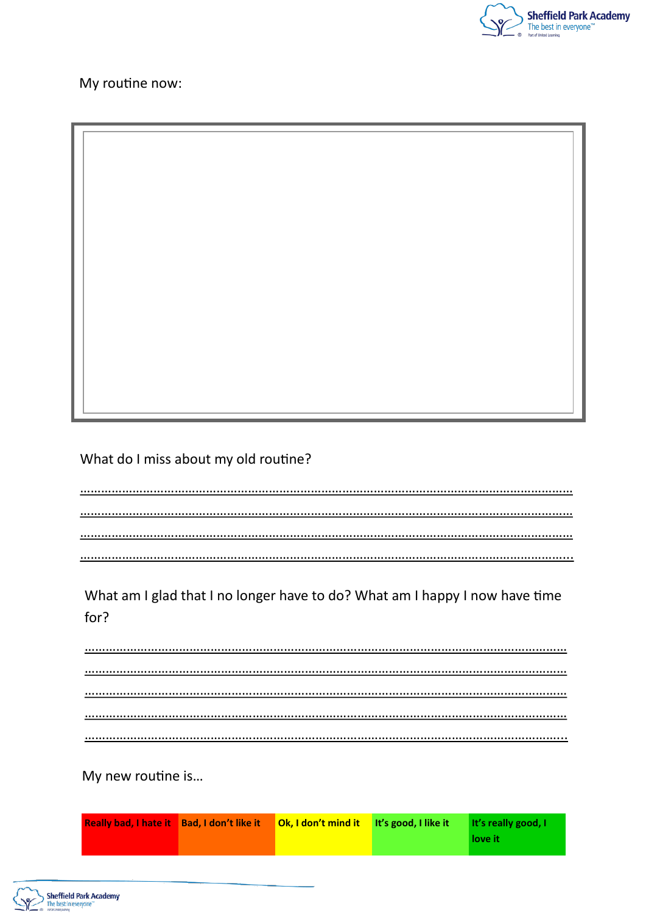

My routine now:

#### What do I miss about my old routine?

…………………………………………………………………………………………………………………………… …………………………………………………………………………………………………………………………… …………………………………………………………………………………………………………………………… …………………………………………………………………………………………………………………………...

#### What am I glad that I no longer have to do? What am I happy I now have time for?

………………………………………………………………………………………………………………………… ………………………………………………………………………………………………………………………… ………………………………………………………………………………………………………………………… ………………………………………………………………………………………………………………………… ………………………………………………………………………………………………………………………...

My new routine is…

| <b>Really bad, I hate it Bad, I don't like it Ok, I don't mind it It's good, I like it</b> |  | <b>It's really good.</b> I |
|--------------------------------------------------------------------------------------------|--|----------------------------|
|                                                                                            |  | love it                    |

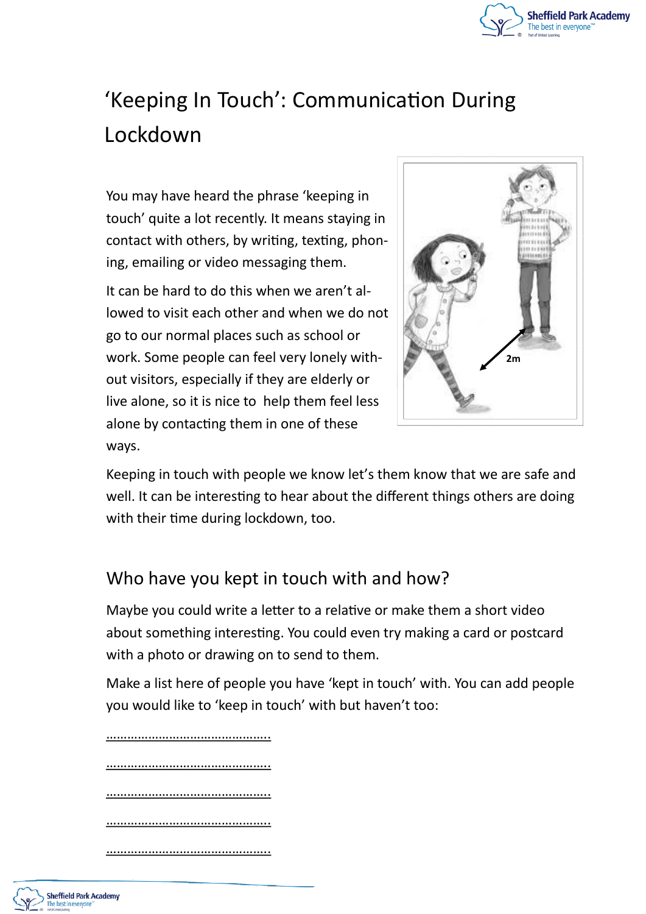

# 'Keeping In Touch': Communication During Lockdown

You may have heard the phrase 'keeping in touch' quite a lot recently. It means staying in contact with others, by writing, texting, phoning, emailing or video messaging them.

It can be hard to do this when we aren't allowed to visit each other and when we do not go to our normal places such as school or work. Some people can feel very lonely without visitors, especially if they are elderly or live alone, so it is nice to help them feel less alone by contacting them in one of these ways.



Keeping in touch with people we know let's them know that we are safe and well. It can be interesting to hear about the different things others are doing with their time during lockdown, too.

### Who have you kept in touch with and how?

Maybe you could write a letter to a relative or make them a short video about something interesting. You could even try making a card or postcard with a photo or drawing on to send to them.

Make a list here of people you have 'kept in touch' with. You can add people you would like to 'keep in touch' with but haven't too:

………………………………………..

………………………………………

………………………………………..

………………………………………..

………………………………………..

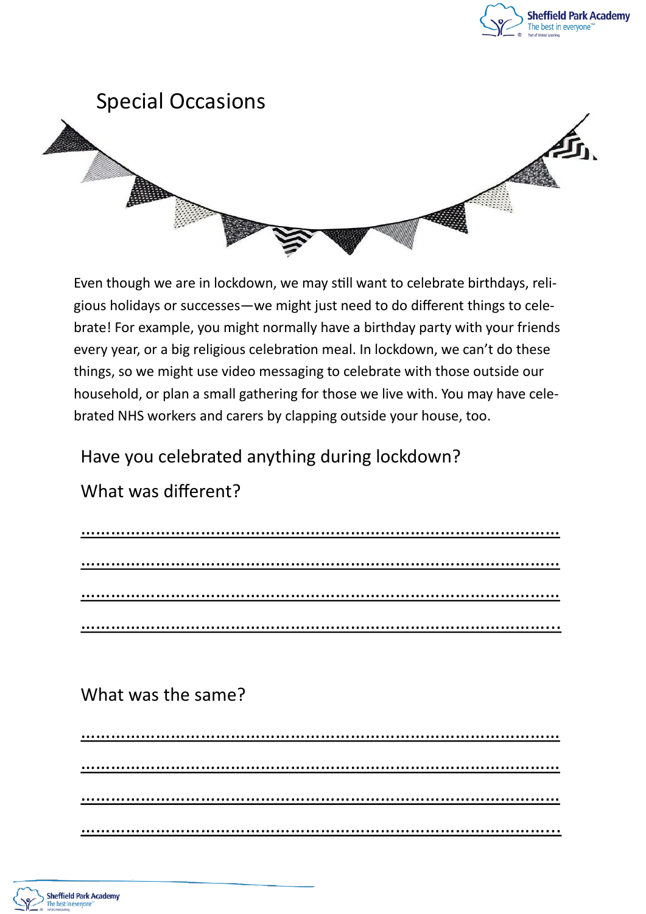



Even though we are in lockdown, we may still want to celebrate birthdays, religious holidays or successes—we might just need to do different things to celebrate! For example, you might normally have a birthday party with your friends every year, or a big religious celebration meal. In lockdown, we can't do these things, so we might use video messaging to celebrate with those outside our household, or plan a small gathering for those we live with. You may have celebrated NHS workers and carers by clapping outside your house, too.

Have you celebrated anything during lockdown?

### What was different?

## What was the same?

…………………………………………………………………………………… …………………………………………………………………………………… …………………………………………………………………………………… …………………………………………………………………………………...

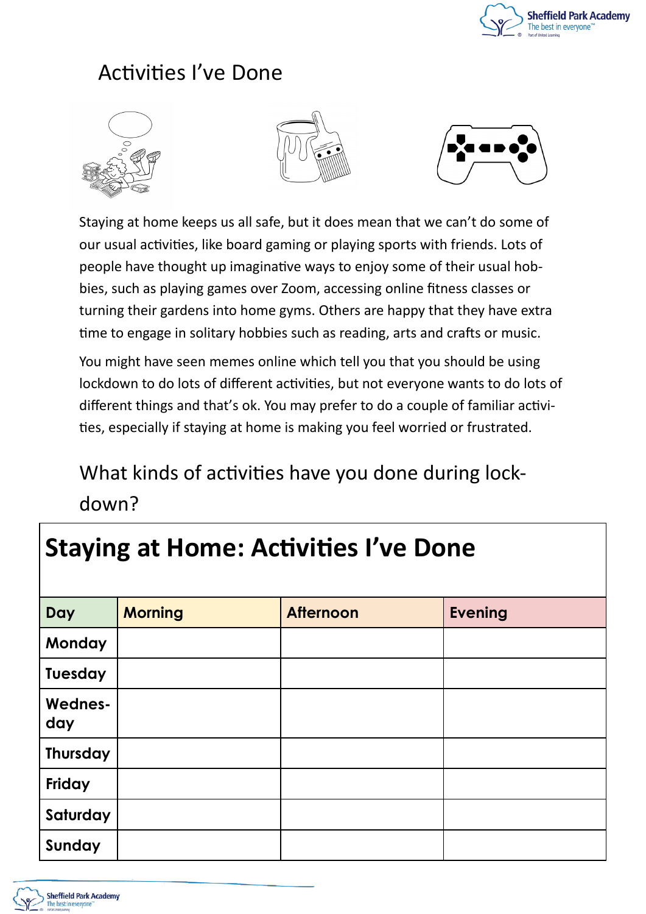

# Activities I've Done







Staying at home keeps us all safe, but it does mean that we can't do some of our usual activities, like board gaming or playing sports with friends. Lots of people have thought up imaginative ways to enjoy some of their usual hobbies, such as playing games over Zoom, accessing online fitness classes or turning their gardens into home gyms. Others are happy that they have extra time to engage in solitary hobbies such as reading, arts and crafts or music.

You might have seen memes online which tell you that you should be using lockdown to do lots of different activities, but not everyone wants to do lots of different things and that's ok. You may prefer to do a couple of familiar activities, especially if staying at home is making you feel worried or frustrated.

# What kinds of activities have you done during lockdown?

# **Staying at Home: Activities I've Done Day Morning Afternoon Evening Monday Tuesday Wednesday Thursday Friday Saturday Sunday**

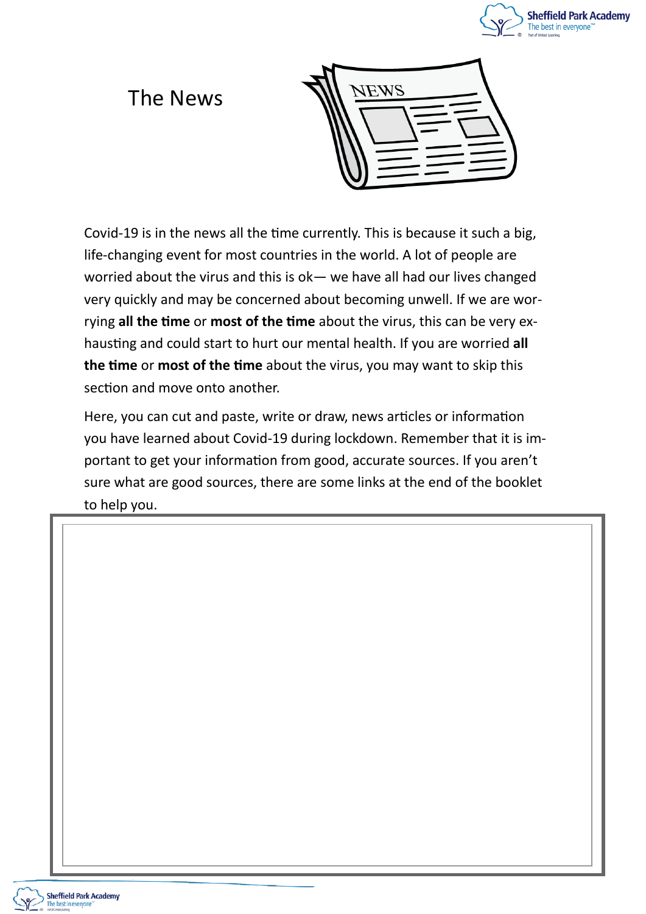

## The News



Covid-19 is in the news all the time currently. This is because it such a big, life-changing event for most countries in the world. A lot of people are worried about the virus and this is ok— we have all had our lives changed very quickly and may be concerned about becoming unwell. If we are worrying **all the time** or **most of the time** about the virus, this can be very exhausting and could start to hurt our mental health. If you are worried **all the time** or **most of the time** about the virus, you may want to skip this section and move onto another.

Here, you can cut and paste, write or draw, news articles or information you have learned about Covid-19 during lockdown. Remember that it is important to get your information from good, accurate sources. If you aren't sure what are good sources, there are some links at the end of the booklet to help you.

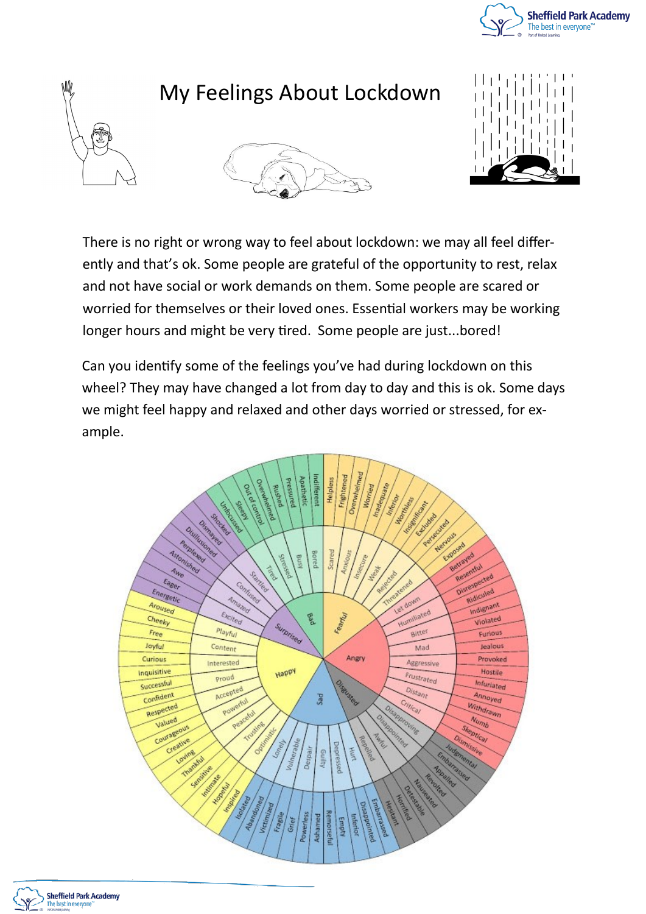



# My Feelings About Lockdown





There is no right or wrong way to feel about lockdown: we may all feel differently and that's ok. Some people are grateful of the opportunity to rest, relax and not have social or work demands on them. Some people are scared or worried for themselves or their loved ones. Essential workers may be working longer hours and might be very tired. Some people are just...bored!

Can you identify some of the feelings you've had during lockdown on this wheel? They may have changed a lot from day to day and this is ok. Some days we might feel happy and relaxed and other days worried or stressed, for example.



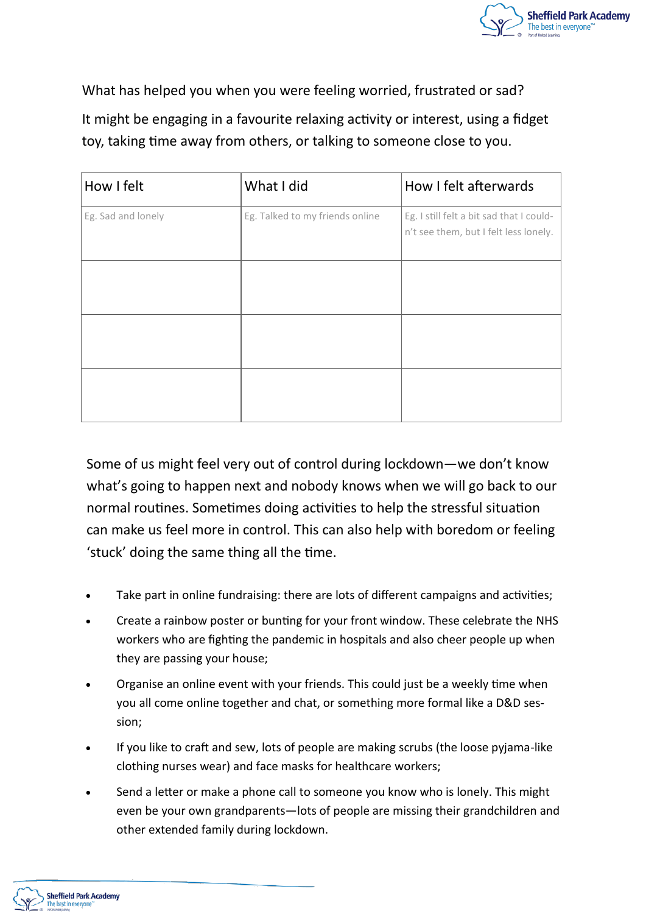

What has helped you when you were feeling worried, frustrated or sad? It might be engaging in a favourite relaxing activity or interest, using a fidget

toy, taking time away from others, or talking to someone close to you.

| How I felt         | What I did                      | How I felt afterwards                                                             |
|--------------------|---------------------------------|-----------------------------------------------------------------------------------|
| Eg. Sad and lonely | Eg. Talked to my friends online | Eg. I still felt a bit sad that I could-<br>n't see them, but I felt less lonely. |
|                    |                                 |                                                                                   |
|                    |                                 |                                                                                   |
|                    |                                 |                                                                                   |

Some of us might feel very out of control during lockdown—we don't know what's going to happen next and nobody knows when we will go back to our normal routines. Sometimes doing activities to help the stressful situation can make us feel more in control. This can also help with boredom or feeling 'stuck' doing the same thing all the time.

- Take part in online fundraising: there are lots of different campaigns and activities;
- Create a rainbow poster or bunting for your front window. These celebrate the NHS workers who are fighting the pandemic in hospitals and also cheer people up when they are passing your house;
- Organise an online event with your friends. This could just be a weekly time when you all come online together and chat, or something more formal like a D&D session;
- If you like to craft and sew, lots of people are making scrubs (the loose pyjama-like clothing nurses wear) and face masks for healthcare workers;
- Send a letter or make a phone call to someone you know who is lonely. This might even be your own grandparents—lots of people are missing their grandchildren and other extended family during lockdown.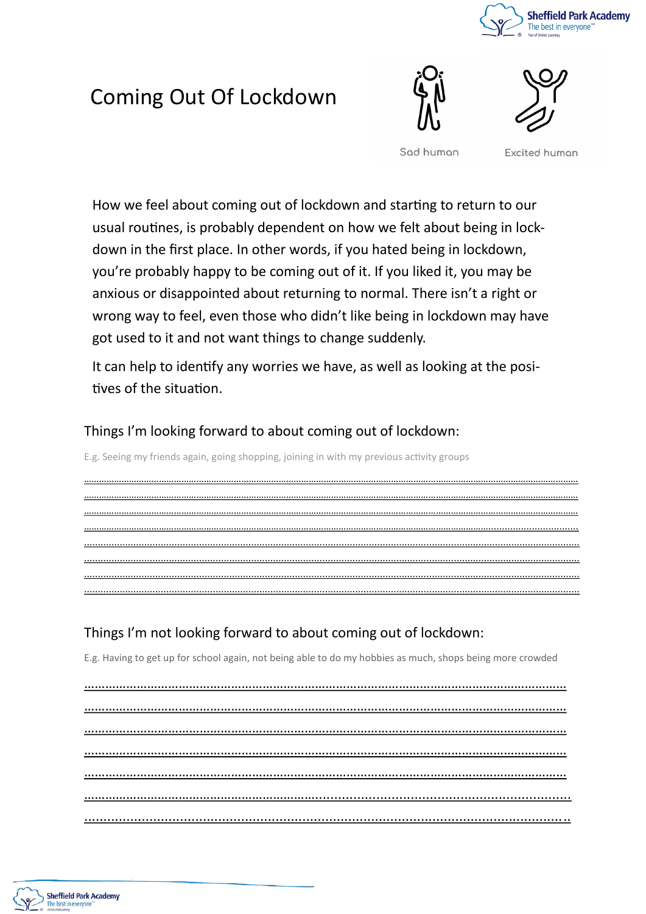

# Coming Out Of Lockdown





Sod human

**Excited human** 

How we feel about coming out of lockdown and starting to return to our usual routines, is probably dependent on how we felt about being in lockdown in the first place. In other words, if you hated being in lockdown, you're probably happy to be coming out of it. If you liked it, you may be anxious or disappointed about returning to normal. There isn't a right or wrong way to feel, even those who didn't like being in lockdown may have got used to it and not want things to change suddenly.

It can help to identify any worries we have, as well as looking at the positives of the situation.

……………………………………………………………………………………………………………………………………………………………………………… ……………………………………………………………………………………………………………………………………………………………………………… ……………………………………………………………………………………………………………………………………………………………………………… ………………………………………………………………………………………………………………………………………………................................. ..................................................................................................................................................................................... ..................................................................................................................................................................................... ..................................................................................................................................................................................... .....................................................................................................................................................................................

Things I'm looking forward to about coming out of lockdown:

E.g. Seeing my friends again, going shopping, joining in with my previous activity groups

Things I'm not looking forward to about coming out of lockdown:

E.g. Having to get up for school again, not being able to do my hobbies as much, shops being more crowded

………………………………………………………………………………………………………………………… ………………………………………………………………………………………………………………………… ………………………………………………………………………………………………………………………… ………………………………………………………………………………………………………………………… ………………………………………………………………………………………………………………………… …………………………………………………………................................................................... ...............................................................................................................................